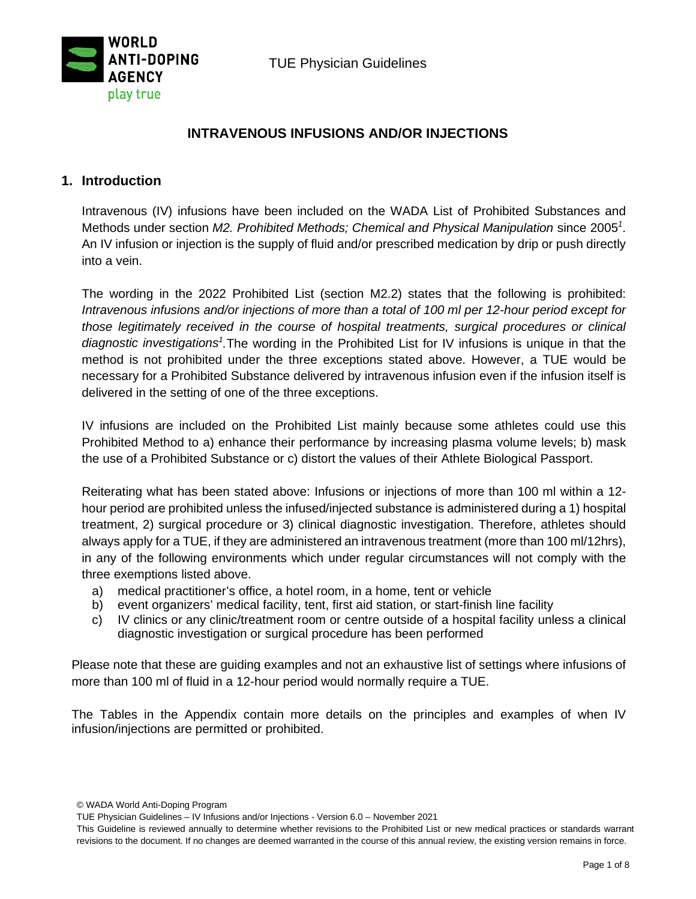TUE Physician Guidelines



## **INTRAVENOUS INFUSIONS AND/OR INJECTIONS**

## **1. Introduction**

Intravenous (IV) infusions have been included on the WADA List of Prohibited Substances and Methods under section *M2. Prohibited Methods; Chemical and Physical Manipulation* since 2005*<sup>1</sup>* . An IV infusion or injection is the supply of fluid and/or prescribed medication by drip or push directly into a vein.

The wording in the 2022 Prohibited List (section M2.2) states that the following is prohibited: *Intravenous infusions and/or injections of more than a total of 100 ml per 12-hour period except for those legitimately received in the course of hospital treatments, surgical procedures or clinical*  diagnostic investigations<sup>1</sup>. The wording in the Prohibited List for IV infusions is unique in that the method is not prohibited under the three exceptions stated above. However, a TUE would be necessary for a Prohibited Substance delivered by intravenous infusion even if the infusion itself is delivered in the setting of one of the three exceptions.

IV infusions are included on the Prohibited List mainly because some athletes could use this Prohibited Method to a) enhance their performance by increasing plasma volume levels; b) mask the use of a Prohibited Substance or c) distort the values of their Athlete Biological Passport.

Reiterating what has been stated above: Infusions or injections of more than 100 ml within a 12 hour period are prohibited unless the infused/injected substance is administered during a 1) hospital treatment, 2) surgical procedure or 3) clinical diagnostic investigation. Therefore, athletes should always apply for a TUE, if they are administered an intravenous treatment (more than 100 ml/12hrs), in any of the following environments which under regular circumstances will not comply with the three exemptions listed above.

- a) medical practitioner's office, a hotel room, in a home, tent or vehicle
- b) event organizers' medical facility, tent, first aid station, or start-finish line facility
- c) IV clinics or any clinic/treatment room or centre outside of a hospital facility unless a clinical diagnostic investigation or surgical procedure has been performed

Please note that these are guiding examples and not an exhaustive list of settings where infusions of more than 100 ml of fluid in a 12-hour period would normally require a TUE.

The Tables in the Appendix contain more details on the principles and examples of when IV infusion/injections are permitted or prohibited.

© WADA World Anti-Doping Program

TUE Physician Guidelines – IV Infusions and/or Injections - Version 6.0 – November 2021

This Guideline is reviewed annually to determine whether revisions to the Prohibited List or new medical practices or standards warrant revisions to the document. If no changes are deemed warranted in the course of this annual review, the existing version remains in force.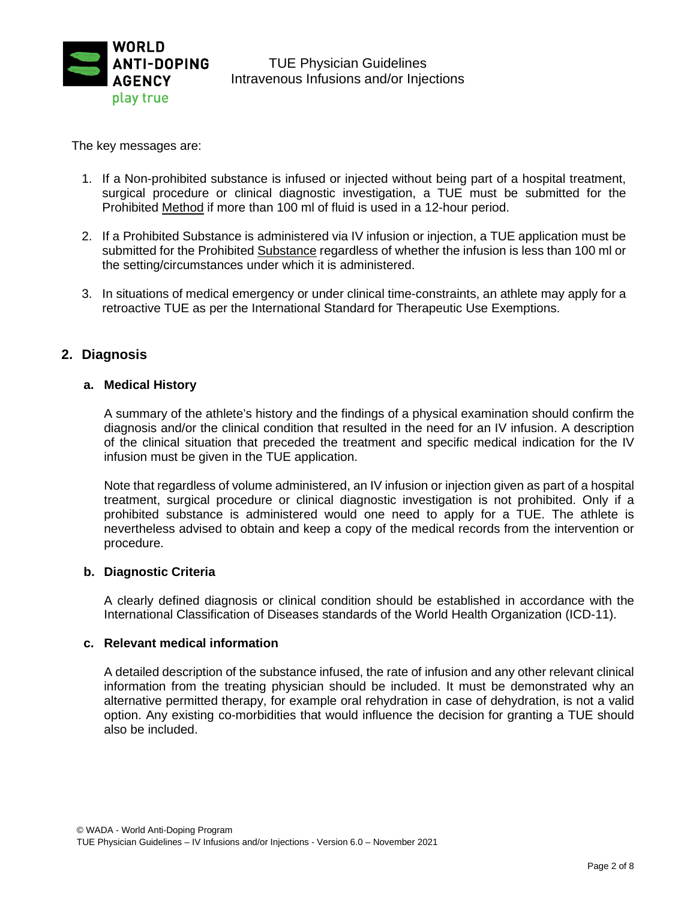

The key messages are:

- 1. If a Non-prohibited substance is infused or injected without being part of a hospital treatment, surgical procedure or clinical diagnostic investigation, a TUE must be submitted for the Prohibited Method if more than 100 ml of fluid is used in a 12-hour period.
- 2. If a Prohibited Substance is administered via IV infusion or injection, a TUE application must be submitted for the Prohibited Substance regardless of whether the infusion is less than 100 ml or the setting/circumstances under which it is administered.
- 3. In situations of medical emergency or under clinical time-constraints, an athlete may apply for a retroactive TUE as per the International Standard for Therapeutic Use Exemptions.

### **2. Diagnosis**

#### **a. Medical History**

A summary of the athlete's history and the findings of a physical examination should confirm the diagnosis and/or the clinical condition that resulted in the need for an IV infusion. A description of the clinical situation that preceded the treatment and specific medical indication for the IV infusion must be given in the TUE application.

Note that regardless of volume administered, an IV infusion or injection given as part of a hospital treatment, surgical procedure or clinical diagnostic investigation is not prohibited. Only if a prohibited substance is administered would one need to apply for a TUE. The athlete is nevertheless advised to obtain and keep a copy of the medical records from the intervention or procedure.

#### **b. Diagnostic Criteria**

A clearly defined diagnosis or clinical condition should be established in accordance with the International Classification of Diseases standards of the World Health Organization (ICD-11).

#### **c. Relevant medical information**

A detailed description of the substance infused, the rate of infusion and any other relevant clinical information from the treating physician should be included. It must be demonstrated why an alternative permitted therapy, for example oral rehydration in case of dehydration, is not a valid option. Any existing co-morbidities that would influence the decision for granting a TUE should also be included.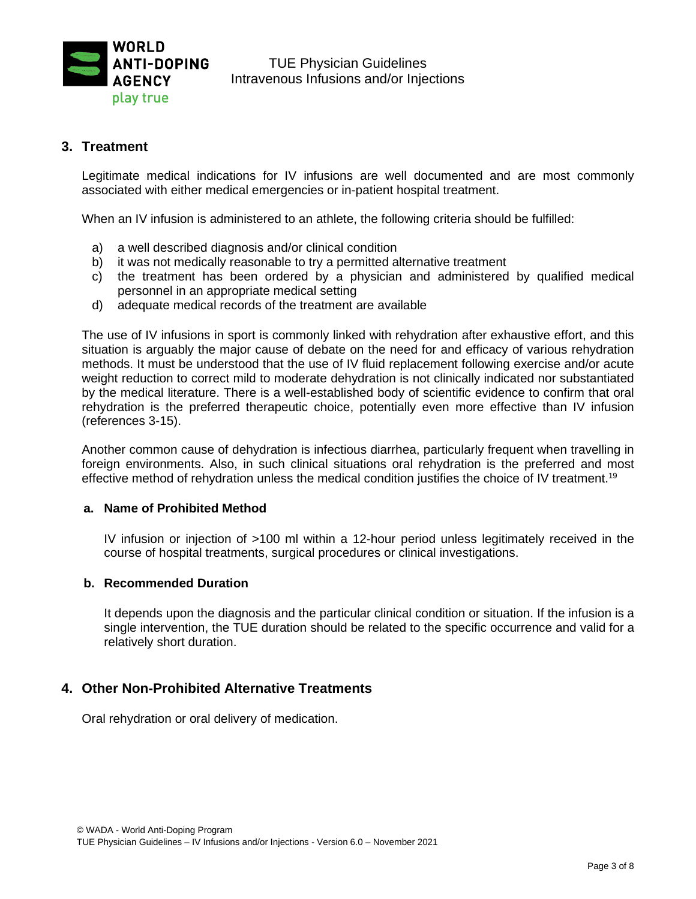

### **3. Treatment**

Legitimate medical indications for IV infusions are well documented and are most commonly associated with either medical emergencies or in-patient hospital treatment.

When an IV infusion is administered to an athlete, the following criteria should be fulfilled:

- a) a well described diagnosis and/or clinical condition
- b) it was not medically reasonable to try a permitted alternative treatment
- c) the treatment has been ordered by a physician and administered by qualified medical personnel in an appropriate medical setting
- d) adequate medical records of the treatment are available

The use of IV infusions in sport is commonly linked with rehydration after exhaustive effort, and this situation is arguably the major cause of debate on the need for and efficacy of various rehydration methods. It must be understood that the use of IV fluid replacement following exercise and/or acute weight reduction to correct mild to moderate dehydration is not clinically indicated nor substantiated by the medical literature. There is a well-established body of scientific evidence to confirm that oral rehydration is the preferred therapeutic choice, potentially even more effective than IV infusion (references 3-15).

Another common cause of dehydration is infectious diarrhea, particularly frequent when travelling in foreign environments. Also, in such clinical situations oral rehydration is the preferred and most effective method of rehydration unless the medical condition justifies the choice of IV treatment.<sup>19</sup>

#### **a. Name of Prohibited Method**

IV infusion or injection of >100 ml within a 12-hour period unless legitimately received in the course of hospital treatments, surgical procedures or clinical investigations.

#### **b. Recommended Duration**

It depends upon the diagnosis and the particular clinical condition or situation. If the infusion is a single intervention, the TUE duration should be related to the specific occurrence and valid for a relatively short duration.

## **4. Other Non-Prohibited Alternative Treatments**

Oral rehydration or oral delivery of medication.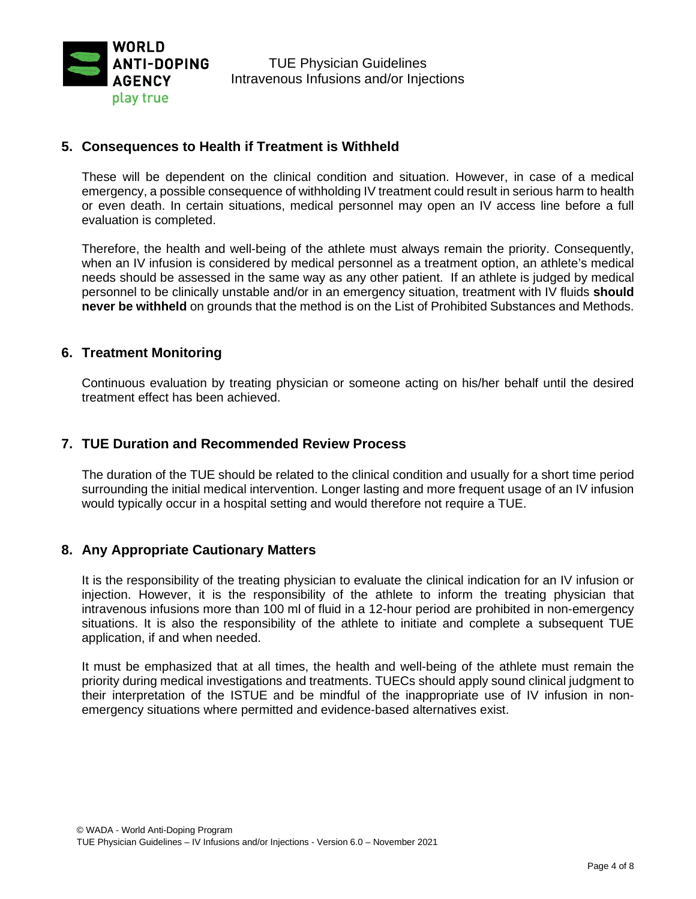

### **5. Consequences to Health if Treatment is Withheld**

These will be dependent on the clinical condition and situation. However, in case of a medical emergency, a possible consequence of withholding IV treatment could result in serious harm to health or even death. In certain situations, medical personnel may open an IV access line before a full evaluation is completed.

Therefore, the health and well-being of the athlete must always remain the priority. Consequently, when an IV infusion is considered by medical personnel as a treatment option, an athlete's medical needs should be assessed in the same way as any other patient. If an athlete is judged by medical personnel to be clinically unstable and/or in an emergency situation, treatment with IV fluids **should never be withheld** on grounds that the method is on the List of Prohibited Substances and Methods.

#### **6. Treatment Monitoring**

Continuous evaluation by treating physician or someone acting on his/her behalf until the desired treatment effect has been achieved.

### **7. TUE Duration and Recommended Review Process**

The duration of the TUE should be related to the clinical condition and usually for a short time period surrounding the initial medical intervention. Longer lasting and more frequent usage of an IV infusion would typically occur in a hospital setting and would therefore not require a TUE.

## **8. Any Appropriate Cautionary Matters**

It is the responsibility of the treating physician to evaluate the clinical indication for an IV infusion or injection. However, it is the responsibility of the athlete to inform the treating physician that intravenous infusions more than 100 ml of fluid in a 12-hour period are prohibited in non-emergency situations. It is also the responsibility of the athlete to initiate and complete a subsequent TUE application, if and when needed.

It must be emphasized that at all times, the health and well-being of the athlete must remain the priority during medical investigations and treatments. TUECs should apply sound clinical judgment to their interpretation of the ISTUE and be mindful of the inappropriate use of IV infusion in nonemergency situations where permitted and evidence-based alternatives exist.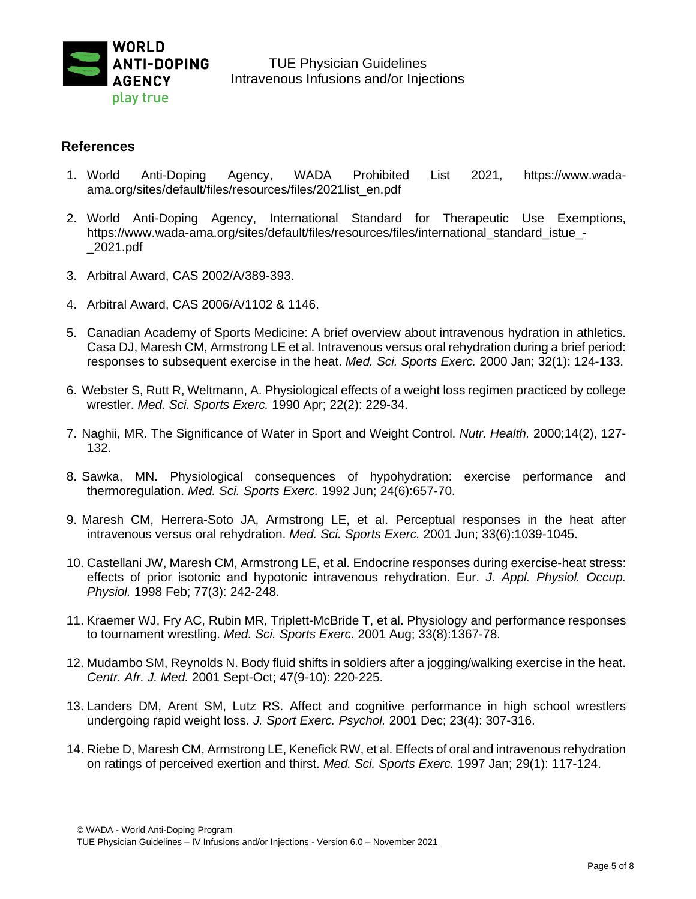

#### **References**

- 1. World Anti-Doping Agency, WADA Prohibited List 2021, https://www.wadaama.org/sites/default/files/resources/files/2021list\_en.pdf
- 2. World Anti-Doping Agency, International Standard for Therapeutic Use Exemptions, https://www.wada-ama.org/sites/default/files/resources/files/international\_standard\_istue\_-\_2021.pdf
- 3. Arbitral Award, CAS 2002/A/389-393.
- 4. Arbitral Award, CAS 2006/A/1102 & 1146.
- 5. Canadian Academy of Sports Medicine: A brief overview about intravenous hydration in athletics. Casa DJ, Maresh CM, Armstrong LE et al. Intravenous versus oral rehydration during a brief period: responses to subsequent exercise in the heat. *Med. Sci. Sports Exerc.* 2000 Jan; 32(1): 124-133.
- 6. Webster S, Rutt R, Weltmann, A. Physiological effects of a weight loss regimen practiced by college wrestler. *Med. Sci. Sports Exerc.* 1990 Apr; 22(2): 229-34.
- 7. Naghii, MR. The Significance of Water in Sport and Weight Control. *Nutr. Health.* 2000;14(2), 127- 132.
- 8. Sawka, MN. Physiological consequences of hypohydration: exercise performance and thermoregulation. *Med. Sci. Sports Exerc.* 1992 Jun; 24(6):657-70.
- 9. Maresh CM, Herrera-Soto JA, Armstrong LE, et al. Perceptual responses in the heat after intravenous versus oral rehydration. *Med. Sci. Sports Exerc.* 2001 Jun; 33(6):1039-1045.
- 10. Castellani JW, Maresh CM, Armstrong LE, et al. Endocrine responses during exercise-heat stress: effects of prior isotonic and hypotonic intravenous rehydration. Eur. *J. Appl. Physiol. Occup. Physiol.* 1998 Feb; 77(3): 242-248.
- 11. Kraemer WJ, Fry AC, Rubin MR, Triplett-McBride T, et al. Physiology and performance responses to tournament wrestling. *Med. Sci. Sports Exerc.* 2001 Aug; 33(8):1367-78.
- 12. Mudambo SM, Reynolds N. Body fluid shifts in soldiers after a jogging/walking exercise in the heat. *Centr. Afr. J. Med.* 2001 Sept-Oct; 47(9-10): 220-225.
- 13. Landers DM, Arent SM, Lutz RS. Affect and cognitive performance in high school wrestlers undergoing rapid weight loss. *J. Sport Exerc. Psychol.* 2001 Dec; 23(4): 307-316.
- 14. Riebe D, Maresh CM, Armstrong LE, Kenefick RW, et al. Effects of oral and intravenous rehydration on ratings of perceived exertion and thirst. *Med. Sci. Sports Exerc.* 1997 Jan; 29(1): 117-124.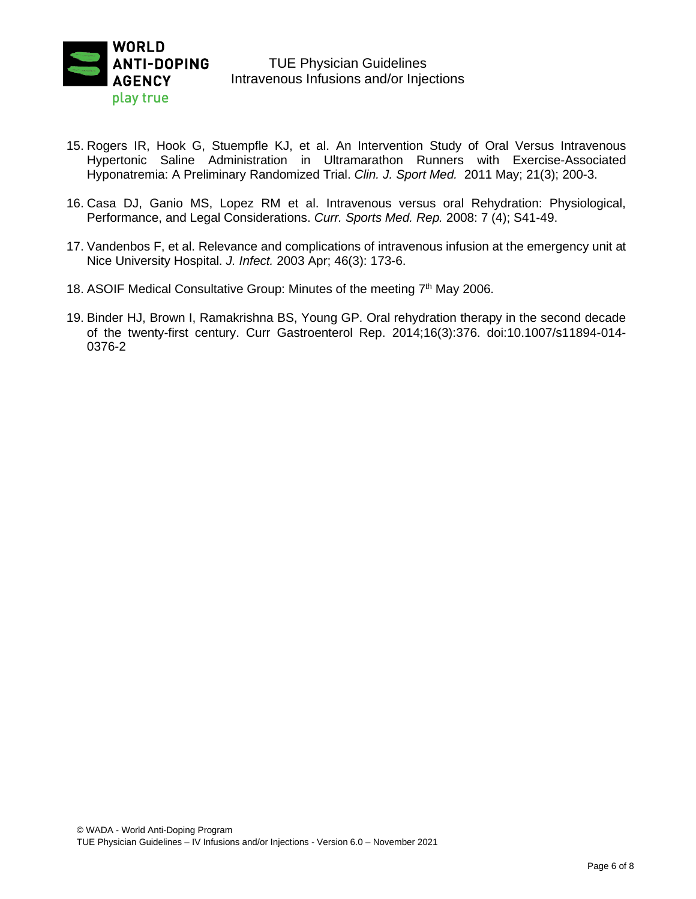

### TUE Physician Guidelines Intravenous Infusions and/or Injections

- 15. Rogers IR, Hook G, Stuempfle KJ, et al. An Intervention Study of Oral Versus Intravenous Hypertonic Saline Administration in Ultramarathon Runners with Exercise-Associated Hyponatremia: A Preliminary Randomized Trial. *Clin. J. Sport Med.* 2011 May; 21(3); 200-3.
- 16. Casa DJ, Ganio MS, Lopez RM et al. Intravenous versus oral Rehydration: Physiological, Performance, and Legal Considerations. *Curr. Sports Med. Rep.* 2008: 7 (4); S41-49.
- 17. Vandenbos F, et al. Relevance and complications of intravenous infusion at the emergency unit at Nice University Hospital. *J. Infect.* 2003 Apr; 46(3): 173-6.
- 18. ASOIF Medical Consultative Group: Minutes of the meeting 7<sup>th</sup> May 2006.
- 19. Binder HJ, Brown I, Ramakrishna BS, Young GP. Oral rehydration therapy in the second decade of the twenty-first century. Curr Gastroenterol Rep. 2014;16(3):376. doi:10.1007/s11894-014- 0376-2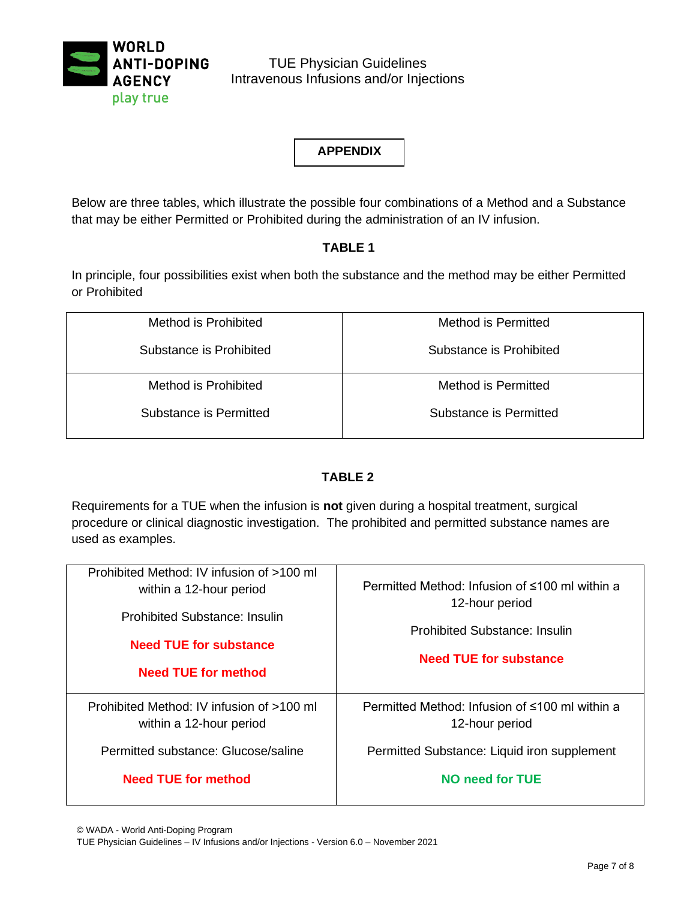

TUE Physician Guidelines Intravenous Infusions and/or Injections

**APPENDIX**

Below are three tables, which illustrate the possible four combinations of a Method and a Substance that may be either Permitted or Prohibited during the administration of an IV infusion.

## **TABLE 1**

In principle, four possibilities exist when both the substance and the method may be either Permitted or Prohibited

| Method is Prohibited    | Method is Permitted     |
|-------------------------|-------------------------|
| Substance is Prohibited | Substance is Prohibited |
| Method is Prohibited    | Method is Permitted     |
| Substance is Permitted  | Substance is Permitted  |

## **TABLE 2**

Requirements for a TUE when the infusion is **not** given during a hospital treatment, surgical procedure or clinical diagnostic investigation. The prohibited and permitted substance names are used as examples.

| Prohibited Method: IV infusion of >100 ml<br>within a 12-hour period<br>Prohibited Substance: Insulin<br><b>Need TUE for substance</b><br><b>Need TUE for method</b> | Permitted Method: Infusion of ≤100 ml within a<br>12-hour period<br>Prohibited Substance: Insulin<br><b>Need TUE for substance</b> |
|----------------------------------------------------------------------------------------------------------------------------------------------------------------------|------------------------------------------------------------------------------------------------------------------------------------|
| Prohibited Method: IV infusion of >100 ml<br>within a 12-hour period<br>Permitted substance: Glucose/saline                                                          | Permitted Method: Infusion of ≤100 ml within a<br>12-hour period<br>Permitted Substance: Liquid iron supplement                    |
| Need TUE for method                                                                                                                                                  | NO need for TUE                                                                                                                    |